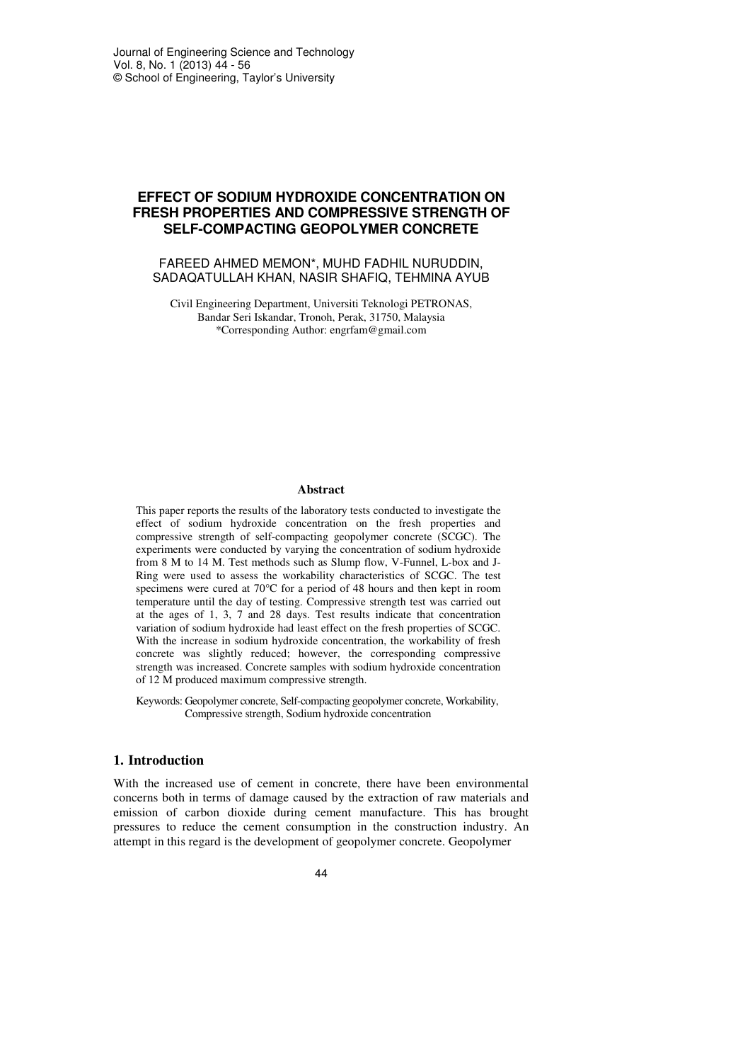# **EFFECT OF SODIUM HYDROXIDE CONCENTRATION ON FRESH PROPERTIES AND COMPRESSIVE STRENGTH OF SELF-COMPACTING GEOPOLYMER CONCRETE**

## FAREED AHMED MEMON\*, MUHD FADHIL NURUDDIN, SADAQATULLAH KHAN, NASIR SHAFIQ, TEHMINA AYUB

Civil Engineering Department, Universiti Teknologi PETRONAS, Bandar Seri Iskandar, Tronoh, Perak, 31750, Malaysia \*Corresponding Author: engrfam@gmail.com

#### **Abstract**

This paper reports the results of the laboratory tests conducted to investigate the effect of sodium hydroxide concentration on the fresh properties and compressive strength of self-compacting geopolymer concrete (SCGC). The experiments were conducted by varying the concentration of sodium hydroxide from 8 M to 14 M. Test methods such as Slump flow, V-Funnel, L-box and J-Ring were used to assess the workability characteristics of SCGC. The test specimens were cured at 70°C for a period of 48 hours and then kept in room temperature until the day of testing. Compressive strength test was carried out at the ages of 1, 3, 7 and 28 days. Test results indicate that concentration variation of sodium hydroxide had least effect on the fresh properties of SCGC. With the increase in sodium hydroxide concentration, the workability of fresh concrete was slightly reduced; however, the corresponding compressive strength was increased. Concrete samples with sodium hydroxide concentration of 12 M produced maximum compressive strength.

Keywords: Geopolymer concrete, Self-compacting geopolymer concrete, Workability, Compressive strength, Sodium hydroxide concentration

### **1. Introduction**

With the increased use of cement in concrete, there have been environmental concerns both in terms of damage caused by the extraction of raw materials and emission of carbon dioxide during cement manufacture. This has brought pressures to reduce the cement consumption in the construction industry. An attempt in this regard is the development of geopolymer concrete. Geopolymer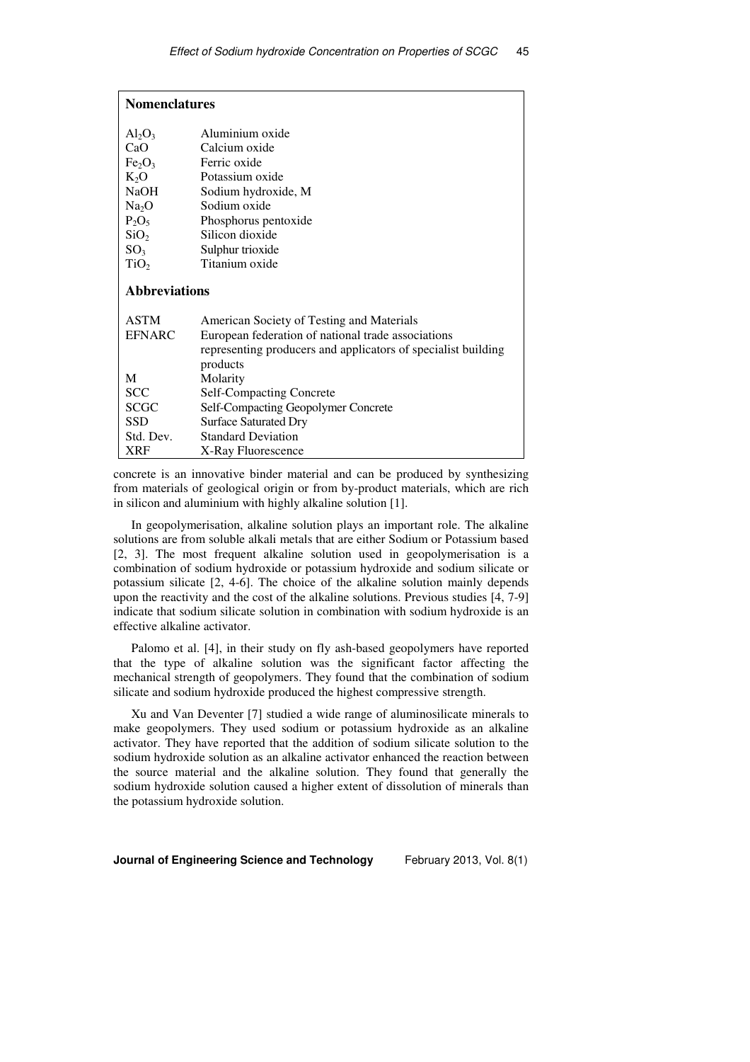| <b>Nomenclatures</b>           |                                                               |  |  |
|--------------------------------|---------------------------------------------------------------|--|--|
| $Al_2O_3$                      | Aluminium oxide                                               |  |  |
| CaO                            | Calcium oxide                                                 |  |  |
| Fe <sub>2</sub> O <sub>3</sub> | Ferric oxide                                                  |  |  |
| $K_2O$                         | Potassium oxide                                               |  |  |
| <b>NaOH</b>                    | Sodium hydroxide, M                                           |  |  |
| Na <sub>2</sub> O              | Sodium oxide                                                  |  |  |
| $P_2O_5$                       | Phosphorus pentoxide                                          |  |  |
| SiO <sub>2</sub>               | Silicon dioxide                                               |  |  |
| SO <sub>3</sub>                | Sulphur trioxide                                              |  |  |
| TiO <sub>2</sub>               | Titanium oxide                                                |  |  |
| <b>Abbreviations</b>           |                                                               |  |  |
| <b>ASTM</b>                    | American Society of Testing and Materials                     |  |  |
| <b>EFNARC</b>                  | European federation of national trade associations            |  |  |
|                                | representing producers and applicators of specialist building |  |  |
|                                | products                                                      |  |  |
| M                              | Molarity                                                      |  |  |
| <b>SCC</b>                     | <b>Self-Compacting Concrete</b>                               |  |  |
| <b>SCGC</b>                    | Self-Compacting Geopolymer Concrete                           |  |  |
| <b>SSD</b>                     | <b>Surface Saturated Dry</b>                                  |  |  |
| Std. Dev.                      | <b>Standard Deviation</b>                                     |  |  |
| <b>XRF</b>                     | X-Ray Fluorescence                                            |  |  |

concrete is an innovative binder material and can be produced by synthesizing from materials of geological origin or from by-product materials, which are rich in silicon and aluminium with highly alkaline solution [1].

In geopolymerisation, alkaline solution plays an important role. The alkaline solutions are from soluble alkali metals that are either Sodium or Potassium based [2, 3]. The most frequent alkaline solution used in geopolymerisation is a combination of sodium hydroxide or potassium hydroxide and sodium silicate or potassium silicate [2, 4-6]. The choice of the alkaline solution mainly depends upon the reactivity and the cost of the alkaline solutions. Previous studies [4, 7-9] indicate that sodium silicate solution in combination with sodium hydroxide is an effective alkaline activator.

Palomo et al. [4], in their study on fly ash-based geopolymers have reported that the type of alkaline solution was the significant factor affecting the mechanical strength of geopolymers. They found that the combination of sodium silicate and sodium hydroxide produced the highest compressive strength.

Xu and Van Deventer [7] studied a wide range of aluminosilicate minerals to make geopolymers. They used sodium or potassium hydroxide as an alkaline activator. They have reported that the addition of sodium silicate solution to the sodium hydroxide solution as an alkaline activator enhanced the reaction between the source material and the alkaline solution. They found that generally the sodium hydroxide solution caused a higher extent of dissolution of minerals than the potassium hydroxide solution.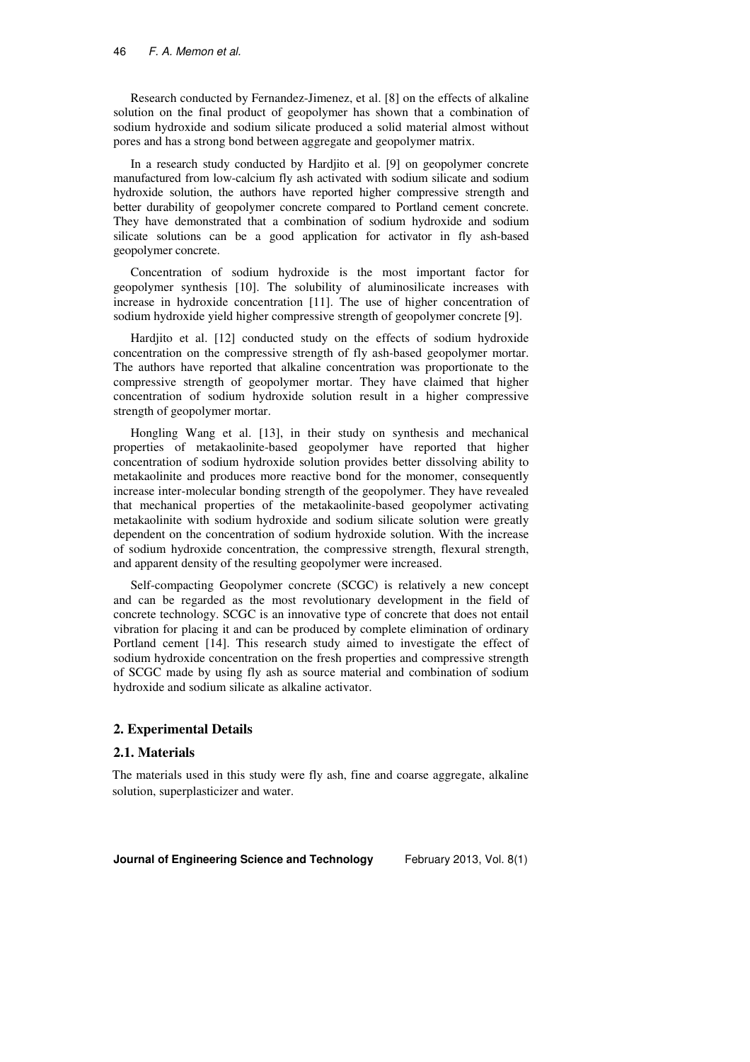Research conducted by Fernandez-Jimenez, et al. [8] on the effects of alkaline solution on the final product of geopolymer has shown that a combination of sodium hydroxide and sodium silicate produced a solid material almost without pores and has a strong bond between aggregate and geopolymer matrix.

In a research study conducted by Hardiito et al. [9] on geopolymer concrete manufactured from low-calcium fly ash activated with sodium silicate and sodium hydroxide solution, the authors have reported higher compressive strength and better durability of geopolymer concrete compared to Portland cement concrete. They have demonstrated that a combination of sodium hydroxide and sodium silicate solutions can be a good application for activator in fly ash-based geopolymer concrete.

Concentration of sodium hydroxide is the most important factor for geopolymer synthesis [10]. The solubility of aluminosilicate increases with increase in hydroxide concentration [11]. The use of higher concentration of sodium hydroxide yield higher compressive strength of geopolymer concrete [9].

Hardjito et al. [12] conducted study on the effects of sodium hydroxide concentration on the compressive strength of fly ash-based geopolymer mortar. The authors have reported that alkaline concentration was proportionate to the compressive strength of geopolymer mortar. They have claimed that higher concentration of sodium hydroxide solution result in a higher compressive strength of geopolymer mortar.

Hongling Wang et al. [13], in their study on synthesis and mechanical properties of metakaolinite-based geopolymer have reported that higher concentration of sodium hydroxide solution provides better dissolving ability to metakaolinite and produces more reactive bond for the monomer, consequently increase inter-molecular bonding strength of the geopolymer. They have revealed that mechanical properties of the metakaolinite-based geopolymer activating metakaolinite with sodium hydroxide and sodium silicate solution were greatly dependent on the concentration of sodium hydroxide solution. With the increase of sodium hydroxide concentration, the compressive strength, flexural strength, and apparent density of the resulting geopolymer were increased.

Self-compacting Geopolymer concrete (SCGC) is relatively a new concept and can be regarded as the most revolutionary development in the field of concrete technology. SCGC is an innovative type of concrete that does not entail vibration for placing it and can be produced by complete elimination of ordinary Portland cement [14]. This research study aimed to investigate the effect of sodium hydroxide concentration on the fresh properties and compressive strength of SCGC made by using fly ash as source material and combination of sodium hydroxide and sodium silicate as alkaline activator.

## **2. Experimental Details**

#### **2.1. Materials**

The materials used in this study were fly ash, fine and coarse aggregate, alkaline solution, superplasticizer and water.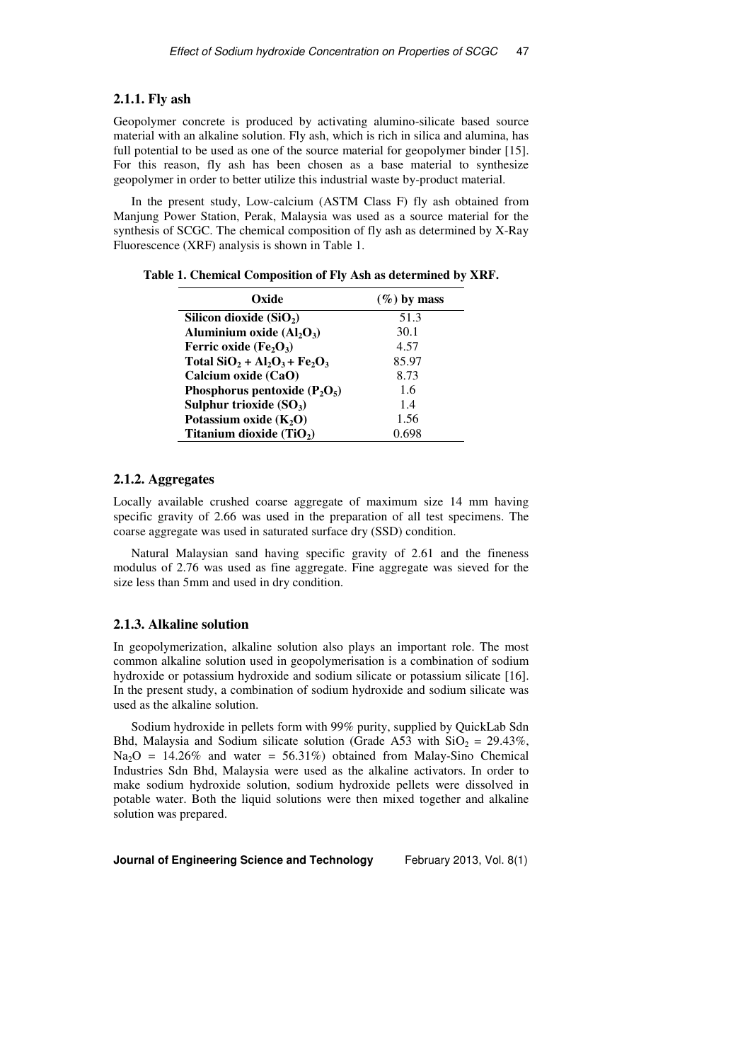#### **2.1.1. Fly ash**

Geopolymer concrete is produced by activating alumino-silicate based source material with an alkaline solution. Fly ash, which is rich in silica and alumina, has full potential to be used as one of the source material for geopolymer binder [15]. For this reason, fly ash has been chosen as a base material to synthesize geopolymer in order to better utilize this industrial waste by-product material.

In the present study, Low-calcium (ASTM Class F) fly ash obtained from Manjung Power Station, Perak, Malaysia was used as a source material for the synthesis of SCGC. The chemical composition of fly ash as determined by X-Ray Fluorescence (XRF) analysis is shown in Table 1.

| Oxide                             | $(\%)$ by mass |
|-----------------------------------|----------------|
| Silicon dioxide $(SiO2)$          | 51.3           |
| Aluminium oxide $(Al_2O_3)$       | 30.1           |
| Ferric oxide $(Fe2O3)$            | 4.57           |
| Total $SiO_2 + Al_2O_3 + Fe_2O_3$ | 85.97          |
| Calcium oxide (CaO)               | 8.73           |
| Phosphorus pentoxide $(P_2O_5)$   | 1.6            |
| Sulphur trioxide $(SO3)$          | 1.4            |
| Potassium oxide $(K_2O)$          | 1.56           |
| Titanium dioxide $(TiO2)$         | -698           |

**Table 1. Chemical Composition of Fly Ash as determined by XRF.**

#### **2.1.2. Aggregates**

Locally available crushed coarse aggregate of maximum size 14 mm having specific gravity of 2.66 was used in the preparation of all test specimens. The coarse aggregate was used in saturated surface dry (SSD) condition.

Natural Malaysian sand having specific gravity of 2.61 and the fineness modulus of 2.76 was used as fine aggregate. Fine aggregate was sieved for the size less than 5mm and used in dry condition.

## **2.1.3. Alkaline solution**

In geopolymerization, alkaline solution also plays an important role. The most common alkaline solution used in geopolymerisation is a combination of sodium hydroxide or potassium hydroxide and sodium silicate or potassium silicate [16]. In the present study, a combination of sodium hydroxide and sodium silicate was used as the alkaline solution.

Sodium hydroxide in pellets form with 99% purity, supplied by QuickLab Sdn Bhd, Malaysia and Sodium silicate solution (Grade A53 with  $SiO_2 = 29.43\%$ ,  $Na<sub>2</sub>O = 14.26\%$  and water = 56.31%) obtained from Malay-Sino Chemical Industries Sdn Bhd, Malaysia were used as the alkaline activators. In order to make sodium hydroxide solution, sodium hydroxide pellets were dissolved in potable water. Both the liquid solutions were then mixed together and alkaline solution was prepared.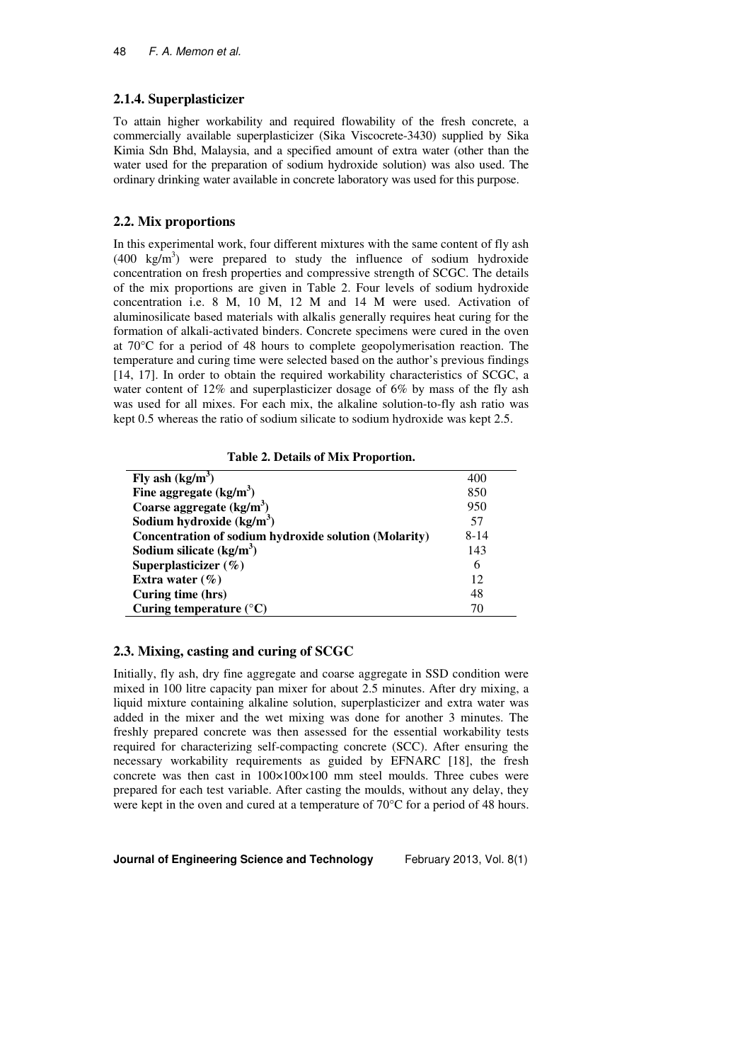## **2.1.4. Superplasticizer**

To attain higher workability and required flowability of the fresh concrete, a commercially available superplasticizer (Sika Viscocrete-3430) supplied by Sika Kimia Sdn Bhd, Malaysia, and a specified amount of extra water (other than the water used for the preparation of sodium hydroxide solution) was also used. The ordinary drinking water available in concrete laboratory was used for this purpose.

## **2.2. Mix proportions**

In this experimental work, four different mixtures with the same content of fly ash  $(400 \text{ kg/m}^3)$  were prepared to study the influence of sodium hydroxide concentration on fresh properties and compressive strength of SCGC. The details of the mix proportions are given in Table 2. Four levels of sodium hydroxide concentration i.e. 8 M, 10 M, 12 M and 14 M were used. Activation of aluminosilicate based materials with alkalis generally requires heat curing for the formation of alkali-activated binders. Concrete specimens were cured in the oven at 70°C for a period of 48 hours to complete geopolymerisation reaction. The temperature and curing time were selected based on the author's previous findings [14, 17]. In order to obtain the required workability characteristics of SCGC, a water content of 12% and superplasticizer dosage of 6% by mass of the fly ash was used for all mixes. For each mix, the alkaline solution-to-fly ash ratio was kept 0.5 whereas the ratio of sodium silicate to sodium hydroxide was kept 2.5.

**Table 2. Details of Mix Proportion.** 

| Fly ash $(kg/m3)$                                     | 400      |
|-------------------------------------------------------|----------|
| Fine aggregate $(kg/m3)$                              | 850      |
| Coarse aggregate $(kg/m^3)$                           | 950      |
| Sodium hydroxide $(kg/m3)$                            | 57       |
| Concentration of sodium hydroxide solution (Molarity) | $8 - 14$ |
| Sodium silicate $(kg/m3)$                             | 143      |
| Superplasticizer $(\%)$                               | 6        |
| Extra water $(\% )$                                   | 12       |
| Curing time (hrs)                                     | 48       |
| Curing temperature $(^{\circ}C)$                      | 70       |

## **2.3. Mixing, casting and curing of SCGC**

Initially, fly ash, dry fine aggregate and coarse aggregate in SSD condition were mixed in 100 litre capacity pan mixer for about 2.5 minutes. After dry mixing, a liquid mixture containing alkaline solution, superplasticizer and extra water was added in the mixer and the wet mixing was done for another 3 minutes. The freshly prepared concrete was then assessed for the essential workability tests required for characterizing self-compacting concrete (SCC). After ensuring the necessary workability requirements as guided by EFNARC [18], the fresh concrete was then cast in  $100\times100\times100$  mm steel moulds. Three cubes were prepared for each test variable. After casting the moulds, without any delay, they were kept in the oven and cured at a temperature of 70°C for a period of 48 hours.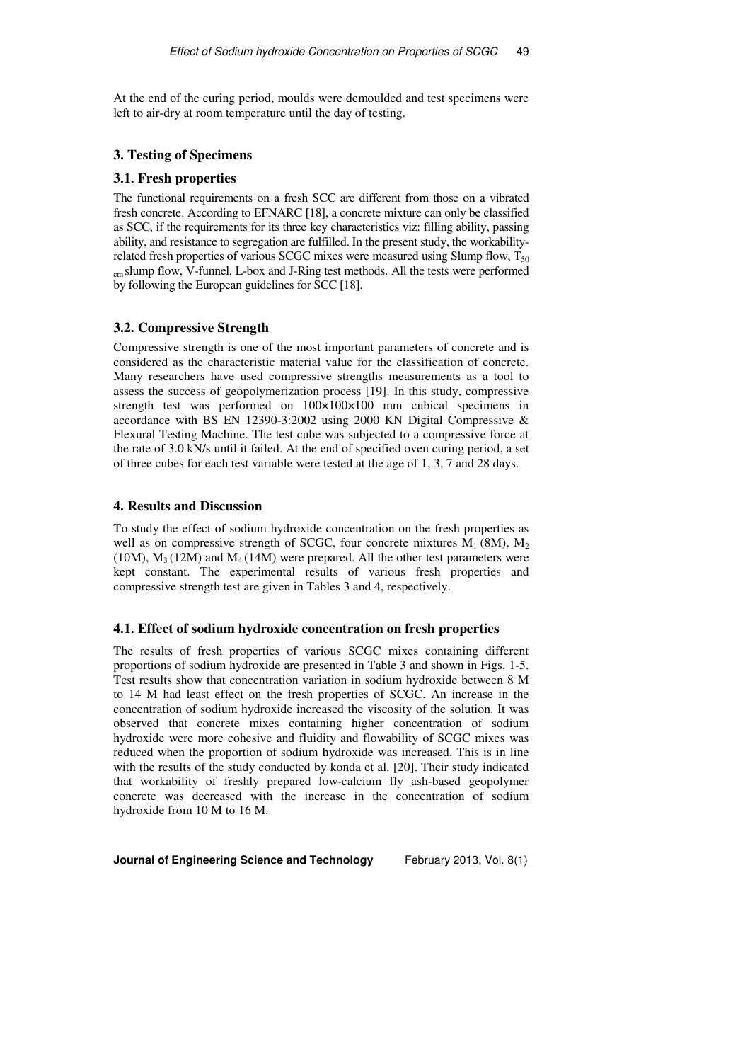At the end of the curing period, moulds were demoulded and test specimens were left to air-dry at room temperature until the day of testing.

## **3. Testing of Specimens**

## **3.1. Fresh properties**

The functional requirements on a fresh SCC are different from those on a vibrated fresh concrete. According to EFNARC [18], a concrete mixture can only be classified as SCC, if the requirements for its three key characteristics viz: filling ability, passing ability, and resistance to segregation are fulfilled. In the present study, the workabilityrelated fresh properties of various SCGC mixes were measured using Slump flow,  $T_{50}$ cm slump flow, V-funnel, L-box and J-Ring test methods. All the tests were performed by following the European guidelines for SCC [18].

## **3.2. Compressive Strength**

Compressive strength is one of the most important parameters of concrete and is considered as the characteristic material value for the classification of concrete. Many researchers have used compressive strengths measurements as a tool to assess the success of geopolymerization process [19]. In this study, compressive strength test was performed on 100×100×100 mm cubical specimens in accordance with BS EN 12390-3:2002 using 2000 KN Digital Compressive & Flexural Testing Machine. The test cube was subjected to a compressive force at the rate of 3.0 kN/s until it failed. At the end of specified oven curing period, a set of three cubes for each test variable were tested at the age of 1, 3, 7 and 28 days.

#### **4. Results and Discussion**

To study the effect of sodium hydroxide concentration on the fresh properties as well as on compressive strength of SCGC, four concrete mixtures  $M_1$  (8M),  $M_2$ (10M),  $M_3(12M)$  and  $M_4(14M)$  were prepared. All the other test parameters were kept constant. The experimental results of various fresh properties and compressive strength test are given in Tables 3 and 4, respectively.

#### **4.1. Effect of sodium hydroxide concentration on fresh properties**

The results of fresh properties of various SCGC mixes containing different proportions of sodium hydroxide are presented in Table 3 and shown in Figs. 1-5. Test results show that concentration variation in sodium hydroxide between 8 M to 14 M had least effect on the fresh properties of SCGC. An increase in the concentration of sodium hydroxide increased the viscosity of the solution. It was observed that concrete mixes containing higher concentration of sodium hydroxide were more cohesive and fluidity and flowability of SCGC mixes was reduced when the proportion of sodium hydroxide was increased. This is in line with the results of the study conducted by konda et al. [20]. Their study indicated that workability of freshly prepared low-calcium fly ash-based geopolymer concrete was decreased with the increase in the concentration of sodium hydroxide from 10 M to 16 M.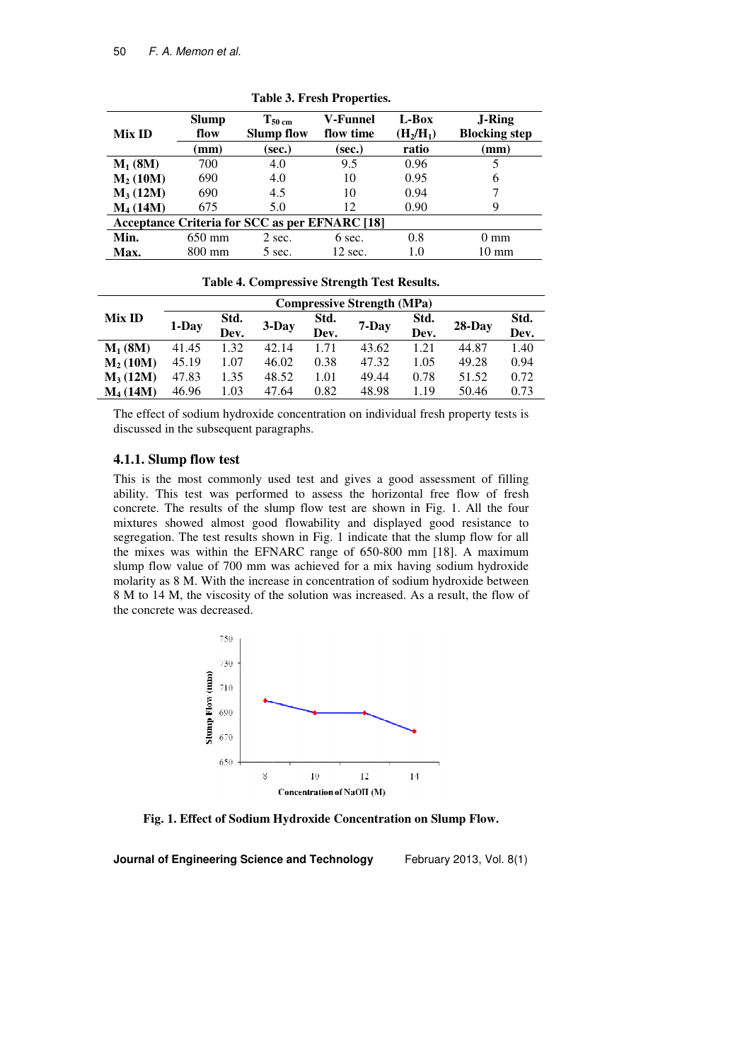| Mix ID                                                | <b>Slump</b><br>flow | $T_{50 \text{ cm}}$<br><b>Slump flow</b> | V-Funnel<br>flow time | L-Box<br>$(H_2/H_1)$ | <b>J-Ring</b><br><b>Blocking step</b> |  |  |
|-------------------------------------------------------|----------------------|------------------------------------------|-----------------------|----------------------|---------------------------------------|--|--|
|                                                       | $(\mathbf{mm})$      | (sec.)                                   | (sec.)                | ratio                | (mm                                   |  |  |
| $M_1(8M)$                                             | 700                  | 4.0                                      | 9.5                   | 0.96                 |                                       |  |  |
| $M2$ (10M)                                            | 690                  | 4.0                                      | 10                    | 0.95                 | 6                                     |  |  |
| $M_3(12M)$                                            | 690                  | 4.5                                      | 10                    | 0.94                 |                                       |  |  |
| $M_4(14M)$                                            | 675                  | 5.0                                      | 12                    | 0.90                 | 9                                     |  |  |
| <b>Acceptance Criteria for SCC as per EFNARC [18]</b> |                      |                                          |                       |                      |                                       |  |  |
| Min.                                                  | 650 mm               | 2 sec.                                   | 6 sec.                | 0.8                  | $0 \text{ mm}$                        |  |  |
| Max.                                                  | $800 \text{ mm}$     | 5 sec.                                   | 12 sec.               | 1.0                  | $10 \text{ mm}$                       |  |  |

**Table 3 3. Fresh Properties.** 

**Table 4. Compressive Strength Test Results Results.** 

|            | <b>Compressive Strength (MPa)</b> |                       |       |      |       |      |           |      |
|------------|-----------------------------------|-----------------------|-------|------|-------|------|-----------|------|
| Mix ID     | 1-Day                             | Std.<br>3-Day<br>Dev. |       | Std. | 7-Day | Std. | $28$ -Day | Std. |
|            |                                   |                       | Dev.  |      | Dev.  |      | Dev.      |      |
| $M_1$ (8M) | 41.45                             | 1.32                  | 42.14 | 1.71 | 43.62 | 1.21 | 44.87     | 1.40 |
| $M2$ (10M) | 45.19                             | 1.07                  | 46.02 | 0.38 | 47.32 | 1.05 | 49.28     | 0.94 |
| $M_3(12M)$ | 47.83                             | 1.35                  | 48.52 | 1.01 | 49.44 | 0.78 | 51.52     | 0.72 |
| $M4$ (14M) | 46.96                             | 1.03                  | 47.64 | 0.82 | 48.98 | 1.19 | 50.46     | 0.73 |

The effect of sodium hydroxide concentration on individual fresh property tests is discussed in the subsequent paragraphs.

#### **4.1.1. Slump flow test**

This is the most commonly used test and gives a good assessment of filling ability. This test was performed to assess the horizontal free flow of fresh concrete. The results of the slump flow test are shown in Fig. 1. All the four mixtures showed almost good flowability and displayed good resistance to segregation. The test results shown in Fig. 1 indicate that the slump flow for all the mixes was within the EFNARC range of 650 650-800 mm [18]. A maximum slump flow value of 700 mm was achieved for a mix having sodium hydroxide molarity as 8 M. With the increase in concentration of sodium hydroxide between 8 M to 14 M, the viscosity of the solution was increased. As a result, the flow of the concrete was decreased.



**Fig. 1. Effect of Sodium Hydroxide Concentration on Slump Flow.**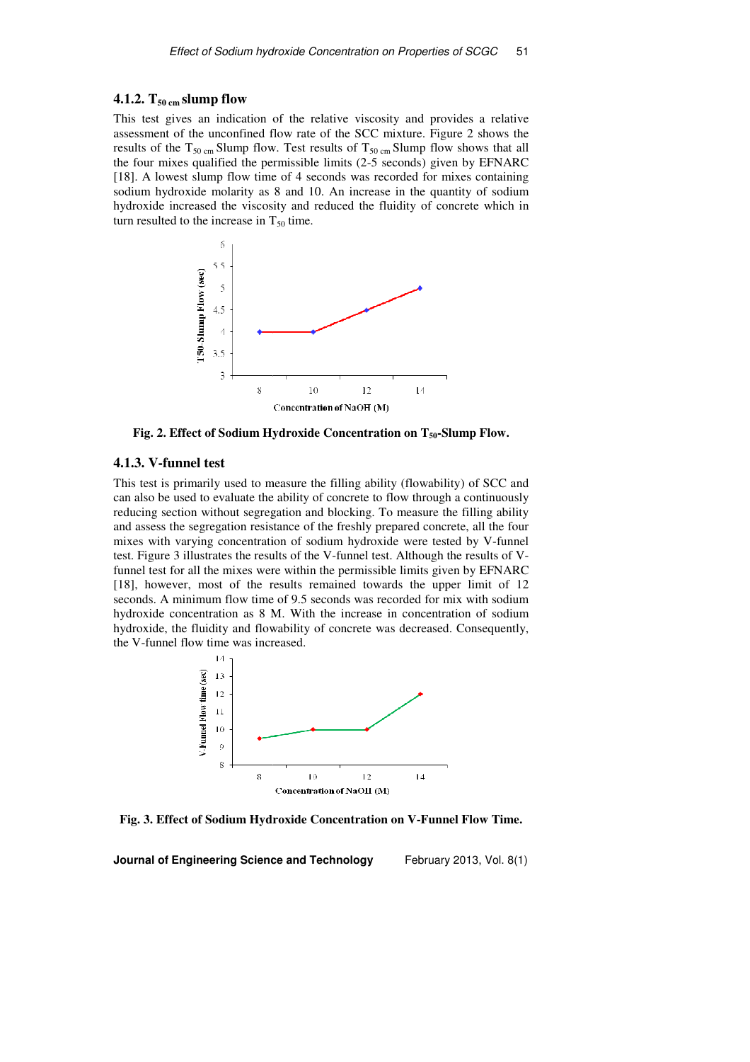## **4.1.2. T50 cm slump flow**

This test gives an indication of the relative viscosity and provides a relative assessment of the unconfined flow rate of the SCC mixture. Figure 2 shows the results of the  $T_{50 \text{ cm}}$  Slump flow. Test results of  $T_{50 \text{ cm}}$  Slump flow shows that all the four mixes qualified the permissible limits (2 (2-5 seconds) given by EFNARC [18]. A lowest slump flow time of 4 seconds was recorded for mixes containing sodium hydroxide molarity as 8 and 10. An increase in the quantity of sodium hydroxide increased the viscosity and reduced the fluidity of concrete which in turn resulted to the increase in  $T_{50}$  time.



**Fig. 2. Effect of Sodium Hydroxide ydroxide Concentration on T50-Slump Flow.** 

## **4.1.3. V-funnel test**

This test is primarily used to measure the filling ability (flowability) of SCC and can also be used to evaluate the ability of concrete to flow through a continuously reducing section without segregation and blocking. To measure the filling ability and assess the segregation resistance of the freshly prepared concrete, all the four mixes with varying concentration of sodium hydroxide were tested by V-funnel test. Figure 3 illustrates the results of the V V-funnel test. Although the results of Vfunnel test for all the mixes were within the permissible limits given by EFNARC [18], however, most of the results remained towards the upper limit of 12 seconds. A minimum flow time of 9.5 seconds was recorded for mix with sodium hydroxide concentration as 8 M. With the increase in concentration of sodium hydroxide, the fluidity and flowability of concrete was decreased. Consequently, the V-funnel flow time was increased.



Fig. 3. Effect of Sodium Hydroxide Concentration on V-Funnel Flow Time.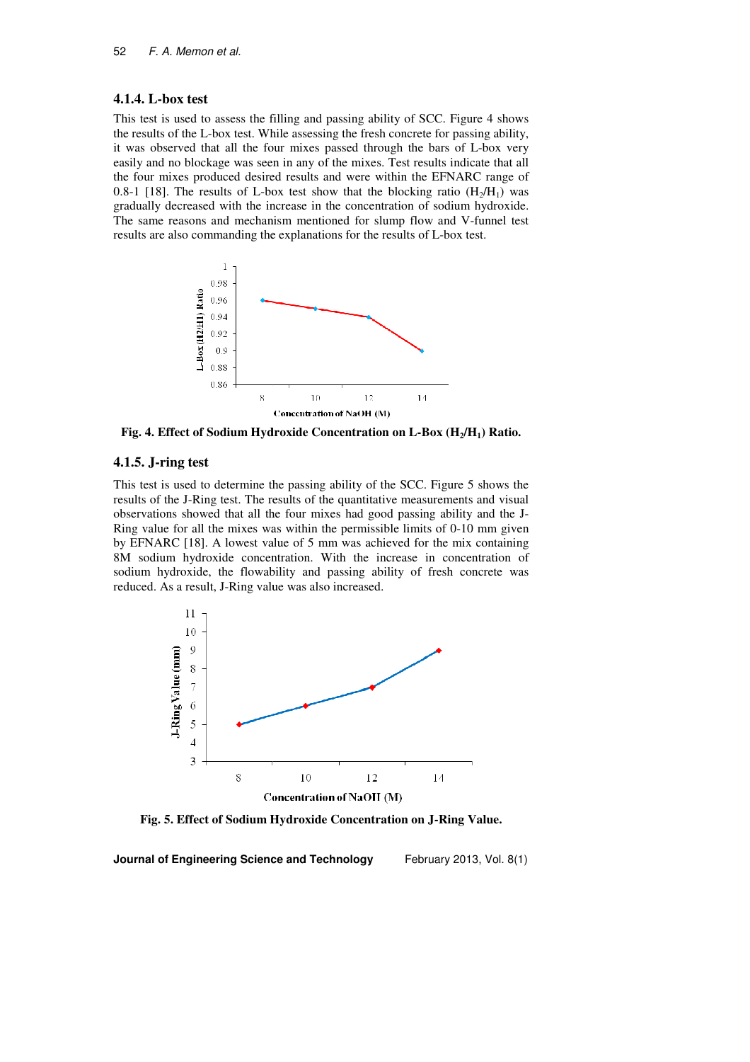#### **4.1.4. L-box test**

This test is used to assess the filling and passing ability of SCC. Figure 4 shows the results of the L-box test. While assessing the fresh concrete for passing ability, the results of the L-box test. While assessing the fresh concrete for passing ability, it was observed that all the four mixes passed through the bars of L-box very easily and no blockage was seen in any of the mixes. Test results indicate that all the four mixes produced desired results and were within the EFNARC range of 0.8-1 [18]. The results of L-box test show that the blocking ratio  $(H_2/H_1)$  was gradually decreased with the increase in the concentration of sodium hydroxide. The same reasons and mechanism mentioned for slump flow and V-funnel test results are also commanding the explanations for the results of L-box test.



**Fig. 4. Effect of Sodium Hydroxide Concentration on L-Box (H<sub>2</sub>/H<sub>1</sub>) Ratio.** 

## **4.1.5. J-ring test**

This test is used to determine the passing ability of the SCC. Figure 5 shows the results of the J-Ring test. The results of the quantitative measurements and visual observations showed that all the four mixes had good passing ability and the J J-Ring value for all the mixes was within the permissible limits of 0 0-10 mm given by EFNARC [18]. A lowest value of 5 mm was achieved for the mix containing 8M sodium hydroxide concentration. With the increase in concentration of sodium hydroxide, the flowability and passing ability of fresh concrete was reduced. As a result, J-Ring value was also increased.



**Fig. 5. Effect of Sodium H Hydroxide Concentration on J-Ring Value.**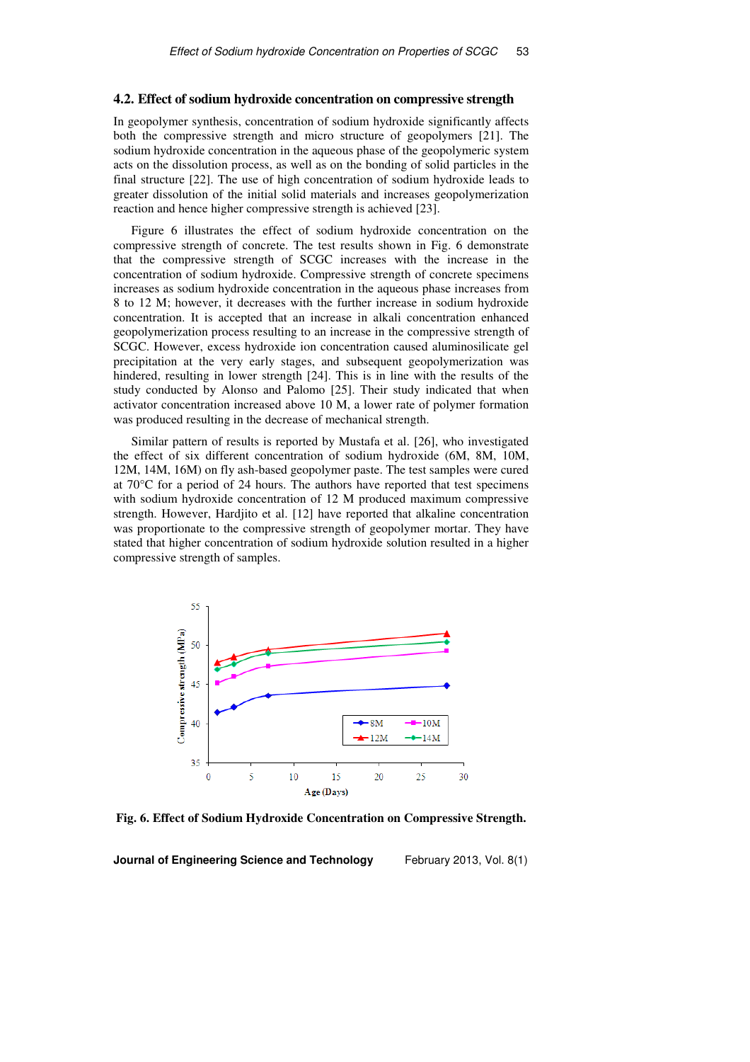#### **4.2. Effect of sodium hydroxide concentration on compressive strength**

In geopolymer synthesis, concentration of sodium hydroxide significantly affects both the compressive strength and micro structure of geopolymers [21]. The sodium hydroxide concentration in the aqueous phase of the geopolymeric system acts on the dissolution process, as well as on the bonding of solid particles in the final structure [22]. The use of high concentration of sodium hydroxide leads to greater dissolution of the initial solid materials and increases geopolymerization reaction and hence higher compressive strength is achieved [23].

Figure 6 illustrates the effect of sodium hydroxide concentration on the compressive strength of concrete. The test results shown in Fig. 6 demonstrate that the compressive strength of SCGC increases with the increase in the concentration of sodium hydroxide. Compressive strength of concrete specimens increases as sodium hydroxide concentration in the aqueous phase increases from 8 to 12 M; however, it decreases with the further increase in sodium hydroxide concentration. It is accepted that an increase in alkali concentration enhanced geopolymerization process resulting to an increase in the compressive strength of SCGC. However, excess hydroxide ion concentration caused aluminosilicate gel precipitation at the very early stages, and subsequent geopolymerization was hindered, resulting in lower strength [24]. This is in line with the results of the study conducted by Alonso and Palomo [25]. Their study indicated that when activator concentration increased above 10 M, a lower rate of polymer formation was produced resulting in the decrease of mechanical strength.

Similar pattern of results is reported by Mustafa et al. [26], who investigated the effect of six different concentration of sodium hydroxide (6M, 8M, 10M, 12M, 14M, 16M) on fly ash-based geopolymer paste. The test samples were cured at 70°C for a period of 24 hours. The authors have reported that test specimens with sodium hydroxide concentration of 12 M produced maximum compressive strength. However, Hardjito et al. [12] have reported that alkaline concentration was proportionate to the compressive strength of geopolymer mortar. They have stated that higher concentration of sodium hydroxide solution resulted in a higher compressive strength of samples.



**Fig. 6. Effect of Sodium Hydroxide Concentration on Compressive Strength.**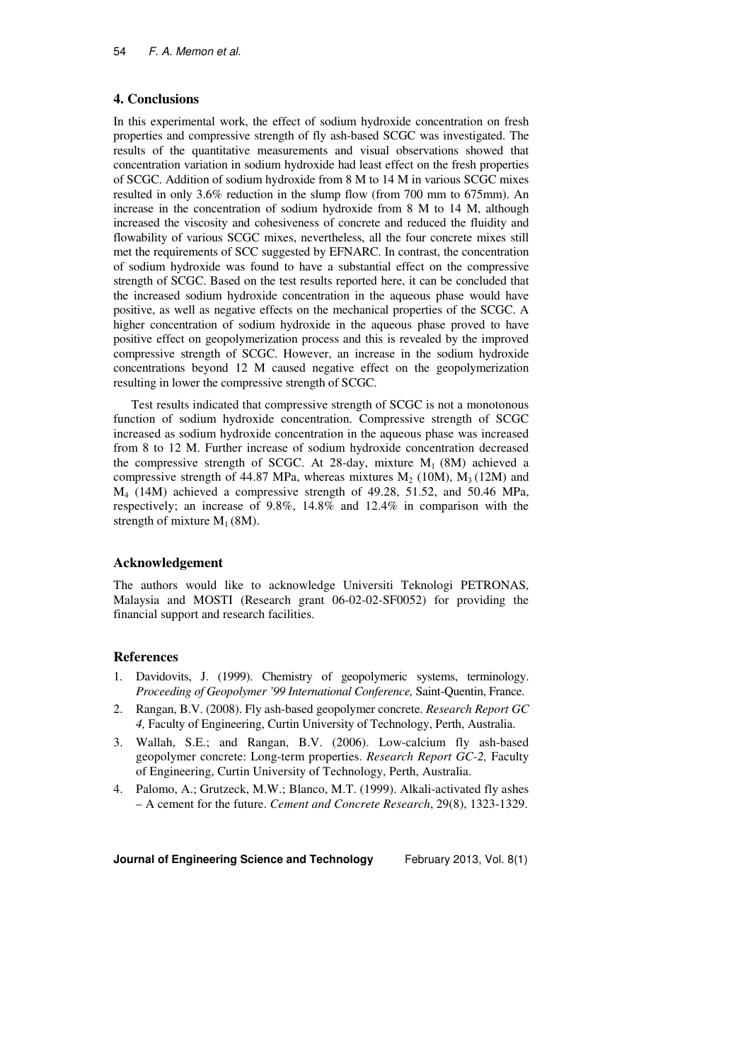## **4. Conclusions**

In this experimental work, the effect of sodium hydroxide concentration on fresh properties and compressive strength of fly ash-based SCGC was investigated. The results of the quantitative measurements and visual observations showed that concentration variation in sodium hydroxide had least effect on the fresh properties of SCGC. Addition of sodium hydroxide from 8 M to 14 M in various SCGC mixes resulted in only 3.6% reduction in the slump flow (from 700 mm to 675mm). An increase in the concentration of sodium hydroxide from 8 M to 14 M, although increased the viscosity and cohesiveness of concrete and reduced the fluidity and flowability of various SCGC mixes, nevertheless, all the four concrete mixes still met the requirements of SCC suggested by EFNARC. In contrast, the concentration of sodium hydroxide was found to have a substantial effect on the compressive strength of SCGC. Based on the test results reported here, it can be concluded that the increased sodium hydroxide concentration in the aqueous phase would have positive, as well as negative effects on the mechanical properties of the SCGC. A higher concentration of sodium hydroxide in the aqueous phase proved to have positive effect on geopolymerization process and this is revealed by the improved compressive strength of SCGC. However, an increase in the sodium hydroxide concentrations beyond 12 M caused negative effect on the geopolymerization resulting in lower the compressive strength of SCGC.

Test results indicated that compressive strength of SCGC is not a monotonous function of sodium hydroxide concentration. Compressive strength of SCGC increased as sodium hydroxide concentration in the aqueous phase was increased from 8 to 12 M. Further increase of sodium hydroxide concentration decreased the compressive strength of SCGC. At 28-day, mixture  $M_1$  (8M) achieved a compressive strength of 44.87 MPa, whereas mixtures  $M_2$  (10M),  $M_3$  (12M) and M4 (14M) achieved a compressive strength of 49.28, 51.52, and 50.46 MPa, respectively; an increase of 9.8%, 14.8% and 12.4% in comparison with the strength of mixture  $M_1$  (8M).

### **Acknowledgement**

The authors would like to acknowledge Universiti Teknologi PETRONAS, Malaysia and MOSTI (Research grant 06-02-02-SF0052) for providing the financial support and research facilities.

## **References**

- 1. Davidovits, J. (1999). Chemistry of geopolymeric systems, terminology. *Proceeding of Geopolymer '99 International Conference,* Saint-Quentin, France.
- 2. Rangan, B.V. (2008). Fly ash-based geopolymer concrete. *Research Report GC 4,* Faculty of Engineering, Curtin University of Technology, Perth, Australia.
- 3. Wallah, S.E.; and Rangan, B.V. (2006). Low-calcium fly ash-based geopolymer concrete: Long-term properties. *Research Report GC-2,* Faculty of Engineering, Curtin University of Technology, Perth, Australia.
- 4. Palomo, A.; Grutzeck, M.W.; Blanco, M.T. (1999). Alkali-activated fly ashes – A cement for the future. *Cement and Concrete Research*, 29(8), 1323-1329.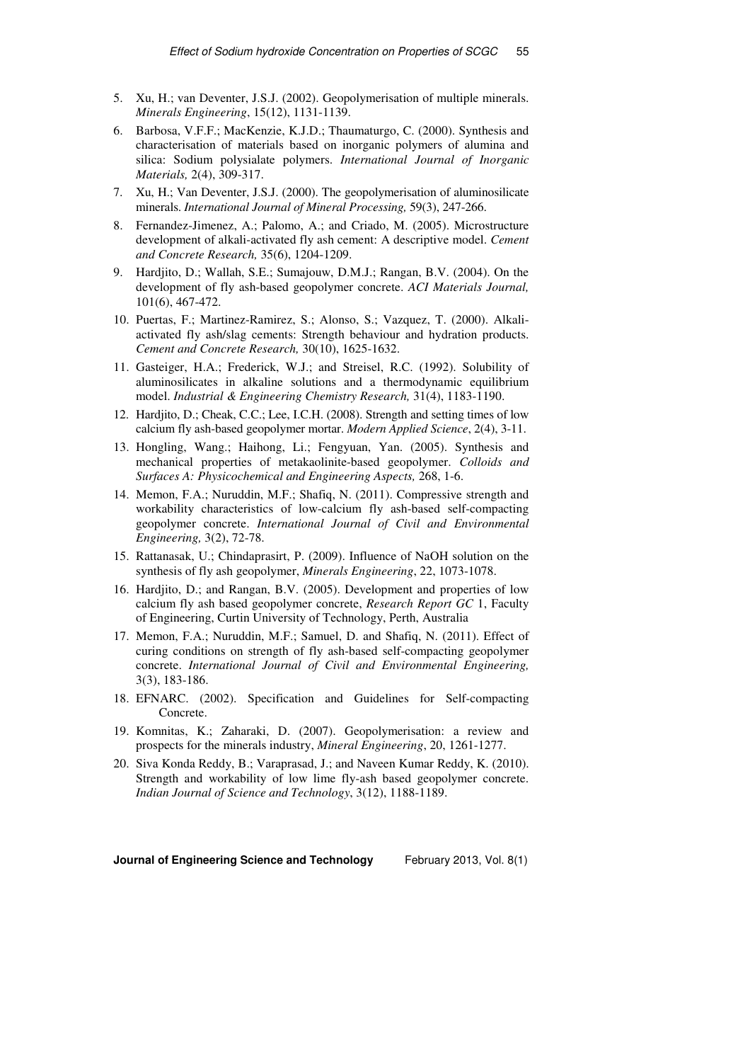- 5. Xu, H.; van Deventer, J.S.J. (2002). Geopolymerisation of multiple minerals. *Minerals Engineering*, 15(12), 1131-1139.
- 6. Barbosa, V.F.F.; MacKenzie, K.J.D.; Thaumaturgo, C. (2000). Synthesis and characterisation of materials based on inorganic polymers of alumina and silica: Sodium polysialate polymers. *International Journal of Inorganic Materials,* 2(4), 309-317.
- 7. Xu, H.; Van Deventer, J.S.J. (2000). The geopolymerisation of aluminosilicate minerals. *International Journal of Mineral Processing,* 59(3), 247-266.
- 8. Fernandez-Jimenez, A.; Palomo, A.; and Criado, M. (2005). Microstructure development of alkali-activated fly ash cement: A descriptive model. *Cement and Concrete Research,* 35(6), 1204-1209.
- 9. Hardjito, D.; Wallah, S.E.; Sumajouw, D.M.J.; Rangan, B.V. (2004). On the development of fly ash-based geopolymer concrete. *ACI Materials Journal,*  101(6), 467-472.
- 10. Puertas, F.; Martinez-Ramirez, S.; Alonso, S.; Vazquez, T. (2000). Alkaliactivated fly ash/slag cements: Strength behaviour and hydration products. *Cement and Concrete Research,* 30(10), 1625-1632.
- 11. Gasteiger, H.A.; Frederick, W.J.; and Streisel, R.C. (1992). Solubility of aluminosilicates in alkaline solutions and a thermodynamic equilibrium model. *Industrial & Engineering Chemistry Research,* 31(4), 1183-1190.
- 12. Hardjito, D.; Cheak, C.C.; Lee, I.C.H. (2008). Strength and setting times of low calcium fly ash-based geopolymer mortar. *Modern Applied Science*, 2(4), 3-11.
- 13. Hongling, Wang.; Haihong, Li.; Fengyuan, Yan. (2005). Synthesis and mechanical properties of metakaolinite-based geopolymer. *Colloids and Surfaces A: Physicochemical and Engineering Aspects,* 268, 1-6.
- 14. Memon, F.A.; Nuruddin, M.F.; Shafiq, N. (2011). Compressive strength and workability characteristics of low-calcium fly ash-based self-compacting geopolymer concrete. *International Journal of Civil and Environmental Engineering,* 3(2), 72-78.
- 15. Rattanasak, U.; Chindaprasirt, P. (2009). Influence of NaOH solution on the synthesis of fly ash geopolymer, *Minerals Engineering*, 22, 1073-1078.
- 16. Hardjito, D.; and Rangan, B.V. (2005). Development and properties of low calcium fly ash based geopolymer concrete, *Research Report GC* 1, Faculty of Engineering, Curtin University of Technology, Perth, Australia
- 17. Memon, F.A.; Nuruddin, M.F.; Samuel, D. and Shafiq, N. (2011). Effect of curing conditions on strength of fly ash-based self-compacting geopolymer concrete. *International Journal of Civil and Environmental Engineering,* 3(3), 183-186.
- 18. EFNARC. (2002). Specification and Guidelines for Self-compacting Concrete.
- 19. Komnitas, K.; Zaharaki, D. (2007). Geopolymerisation: a review and prospects for the minerals industry, *Mineral Engineering*, 20, 1261-1277.
- 20. Siva Konda Reddy, B.; Varaprasad, J.; and Naveen Kumar Reddy, K. (2010). Strength and workability of low lime fly-ash based geopolymer concrete. *Indian Journal of Science and Technology*, 3(12), 1188-1189.